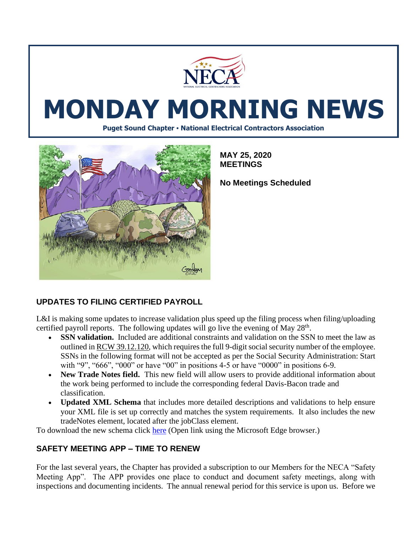

# **MONDAY MORNING NEWS**

**Puget Sound Chapter • National Electrical Contractors Association**



**MAY 25, 2020 MEETINGS**

**No Meetings Scheduled**

# **UPDATES TO FILING CERTIFIED PAYROLL**

L&I is making some updates to increase validation plus speed up the filing process when filing/uploading certified payroll reports. The following updates will go live the evening of May  $28<sup>th</sup>$ .

- **SSN validation.** Included are additional constraints and validation on the SSN to meet the law as outlined i[n RCW 39.12.120,](https://lnks.gd/l/eyJhbGciOiJIUzI1NiJ9.eyJidWxsZXRpbl9saW5rX2lkIjoxMDEsInVyaSI6ImJwMjpjbGljayIsImJ1bGxldGluX2lkIjoiMjAyMDA1MjEuMjE4Njg4NzEiLCJ1cmwiOiJodHRwczovL2FwcC5sZWcud2EuZ292L1JDVy9kZWZhdWx0LmFzcHg_Y2l0ZT0zOS4xMi4xMjAmdXRtX21lZGl1bT1lbWFpbCZ1dG1fc291cmNlPWdvdmRlbGl2ZXJ5In0.dL8MCQj7a5hBypu3NvSe1k_OdTRb_sz4TLySt1m1PaQ/br/78963944108-l) which requires the full 9-digit social security number of the employee. SSNs in the following format will not be accepted as per the Social Security Administration: Start with "9", "666", "000" or have "00" in positions 4-5 or have "0000" in positions 6-9.
- **New Trade Notes field.** This new field will allow users to provide additional information about the work being performed to include the corresponding federal Davis-Bacon trade and classification.
- **Updated XML Schema** that includes more detailed descriptions and validations to help ensure your XML file is set up correctly and matches the system requirements. It also includes the new tradeNotes element, located after the jobClass element.

To download the new schema click [here](https://lni.wa.gov/licensing-permits/_docs/xmlschema.xsd?utm_medium=email&utm_source=govdelivery) (Open link using the Microsoft Edge browser.)

# **SAFETY MEETING APP – TIME TO RENEW**

For the last several years, the Chapter has provided a subscription to our Members for the NECA "Safety Meeting App". The APP provides one place to conduct and document safety meetings, along with inspections and documenting incidents. The annual renewal period for this service is upon us. Before we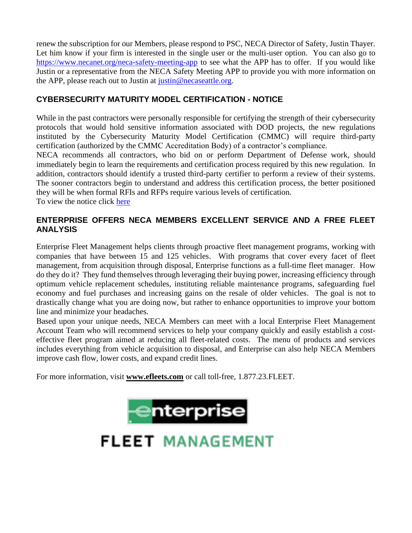renew the subscription for our Members, please respond to PSC, NECA Director of Safety, Justin Thayer. Let him know if your firm is interested in the single user or the multi-user option. You can also go to <https://www.necanet.org/neca-safety-meeting-app> to see what the APP has to offer. If you would like Justin or a representative from the NECA Safety Meeting APP to provide you with more information on the APP, please reach out to Justin at [justin@necaseattle.org.](mailto:jamie@necaseattle.org)

# **CYBERSECURITY MATURITY MODEL CERTIFICATION - NOTICE**

While in the past contractors were personally responsible for certifying the strength of their cybersecurity protocols that would hold sensitive information associated with DOD projects, the new regulations instituted by the Cybersecurity Maturity Model Certification (CMMC) will require third-party certification (authorized by the CMMC Accreditation Body) of a contractor's compliance.

NECA recommends all contractors, who bid on or perform Department of Defense work, should immediately begin to learn the requirements and certification process required by this new regulation. In addition, contractors should identify a trusted third-party certifier to perform a review of their systems. The sooner contractors begin to understand and address this certification process, the better positioned they will be when formal RFIs and RFPs require various levels of certification.

To view the notice click [here](https://www.necanet.org/docs/default-source/default-document-library/cmccnotice.pdf)

# **ENTERPRISE OFFERS NECA MEMBERS EXCELLENT SERVICE AND A FREE FLEET ANALYSIS**

Enterprise Fleet Management helps clients through proactive fleet management programs, working with companies that have between 15 and 125 vehicles. With programs that cover every facet of fleet management, from acquisition through disposal, Enterprise functions as a full-time fleet manager. How do they do it? They fund themselves through leveraging their buying power, increasing efficiency through optimum vehicle replacement schedules, instituting reliable maintenance programs, safeguarding fuel economy and fuel purchases and increasing gains on the resale of older vehicles. The goal is not to drastically change what you are doing now, but rather to enhance opportunities to improve your bottom line and minimize your headaches.

Based upon your unique needs, NECA Members can meet with a local Enterprise Fleet Management Account Team who will recommend services to help your company quickly and easily establish a costeffective fleet program aimed at reducing all fleet-related costs. The menu of products and services includes everything from vehicle acquisition to disposal, and Enterprise can also help NECA Members improve cash flow, lower costs, and expand credit lines.

For more information, visit **[www.efleets.com](https://www.efleets.com/en/build-a-better-fleet.html)** or call toll-free, 1.877.23.FLEET.



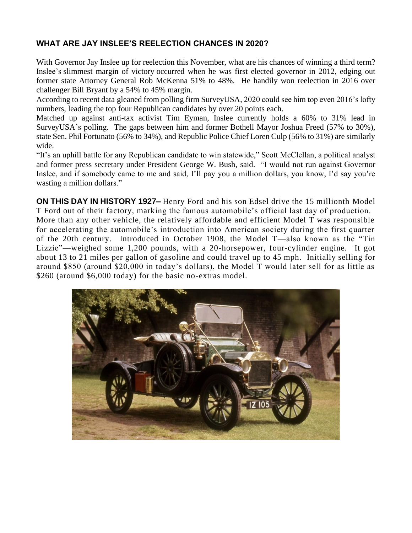# **WHAT ARE JAY INSLEE'S REELECTION CHANCES IN 2020?**

With Governor Jay Inslee up for reelection this November, what are his chances of winning a third term? Inslee's [slimmest margin of victory](https://ballotpedia.org/Jay_Inslee) occurred when he was first elected governor in 2012, edging out former state Attorney General Rob McKenna 51% to 48%. He handily won reelection in 2016 over challenger Bill Bryant by a 54% to 45% margin.

According to recent data [gleaned from polling firm SurveyUSA,](https://projects.fivethirtyeight.com/polls/governor/washington/) 2020 could see him top even 2016's lofty numbers, leading the top four Republican candidates by over 20 points each.

Matched up against anti-tax activist Tim Eyman, Inslee currently holds a 60% to 31% lead in SurveyUSA's polling. The gaps between him and former Bothell Mayor Joshua Freed (57% to 30%), state Sen. Phil Fortunato (56% to 34%), and Republic Police Chief Loren Culp (56% to 31%) are similarly wide.

"It's an uphill battle for any Republican candidate to win statewide," Scott McClellan, a political analyst and former press secretary under President George W. Bush, said. "I would not run against Governor Inslee, and if somebody came to me and said, I'll pay you a million dollars, you know, I'd say you're wasting a million dollars."

**ON THIS DAY IN HISTORY 1927–** [Henry Ford](https://www.history.com/topics/henry-ford) and his son Edsel drive the 15 millionth [Model](https://www.history.com/topics/model-t)  [T](https://www.history.com/topics/model-t) Ford out of their factory, marking the famous automobile's official last day of production. More than any other vehicle, the relatively affordable and efficient Model T was responsible for accelerating the automobile's introduction into American society during the first quarter of the 20th century. Introduced in October 1908, the Model T—also known as the "Tin Lizzie"—weighed some 1,200 pounds, with a 20-horsepower, four-cylinder engine. It got about 13 to 21 miles per gallon of gasoline and could travel up to 45 mph. Initially selling for around \$850 (around \$20,000 in today's dollars), the Model T would later sell for as little as \$260 (around \$6,000 today) for the basic no-extras model.